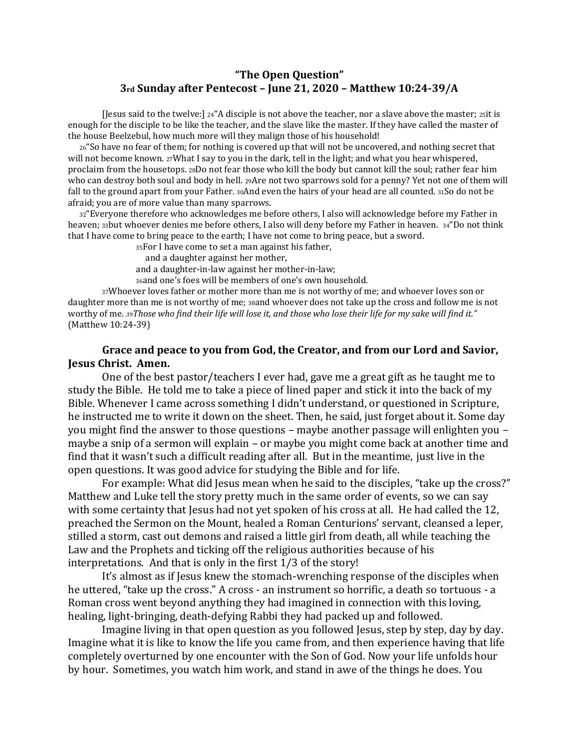## **"The Open Question" 3rd Sunday after Pentecost – June 21, 2020 – Matthew 10:24-39/A**

[Jesus said to the twelve:] 24"A disciple is not above the teacher, nor a slave above the master; 25it is enough for the disciple to be like the teacher, and the slave like the master. If they have called the master of the house Beelzebul, how much more will they malign those of his household!

<sup>26</sup>"So have no fear of them; for nothing is covered up that will not be uncovered, and nothing secret that will not become known. 27What I say to you in the dark, tell in the light; and what you hear whispered, proclaim from the housetops. 28Do not fear those who kill the body but cannot kill the soul; rather fear him who can destroy both soul and body in hell. 29Are not two sparrows sold for a penny? Yet not one of them will fall to the ground apart from your Father. 30And even the hairs of your head are all counted. 31So do not be afraid; you are of more value than many sparrows.

<sup>32</sup>"Everyone therefore who acknowledges me before others, I also will acknowledge before my Father in heaven; 33but whoever denies me before others, I also will deny before my Father in heaven. 34"Do not think that I have come to bring peace to the earth; I have not come to bring peace, but a sword.

<sup>35</sup>For I have come to set a man against his father,

and a daughter against her mother,

and a daughter-in-law against her mother-in-law;

<sup>36</sup>and one's foes will be members of one's own household.

<sup>37</sup>Whoever loves father or mother more than me is not worthy of me; and whoever loves son or daughter more than me is not worthy of me; 38and whoever does not take up the cross and follow me is not worthy of me. *39Those who find their life will lose it, and those who lose their life for my sake will find it."*  (Matthew 10:24-39)

## **Grace and peace to you from God, the Creator, and from our Lord and Savior, Jesus Christ. Amen.**

One of the best pastor/teachers I ever had, gave me a great gift as he taught me to study the Bible. He told me to take a piece of lined paper and stick it into the back of my Bible. Whenever I came across something I didn't understand, or questioned in Scripture, he instructed me to write it down on the sheet. Then, he said, just forget about it. Some day you might find the answer to those questions – maybe another passage will enlighten you – maybe a snip of a sermon will explain – or maybe you might come back at another time and find that it wasn't such a difficult reading after all. But in the meantime, just live in the open questions. It was good advice for studying the Bible and for life.

For example: What did Jesus mean when he said to the disciples, "take up the cross?" Matthew and Luke tell the story pretty much in the same order of events, so we can say with some certainty that Jesus had not yet spoken of his cross at all. He had called the 12, preached the Sermon on the Mount, healed a Roman Centurions' servant, cleansed a leper, stilled a storm, cast out demons and raised a little girl from death, all while teaching the Law and the Prophets and ticking off the religious authorities because of his interpretations. And that is only in the first 1/3 of the story!

It's almost as if Jesus knew the stomach-wrenching response of the disciples when he uttered, "take up the cross." A cross - an instrument so horrific, a death so tortuous - a Roman cross went beyond anything they had imagined in connection with this loving, healing, light-bringing, death-defying Rabbi they had packed up and followed.

Imagine living in that open question as you followed Jesus, step by step, day by day. Imagine what it is like to know the life you came from, and then experience having that life completely overturned by one encounter with the Son of God. Now your life unfolds hour by hour. Sometimes, you watch him work, and stand in awe of the things he does. You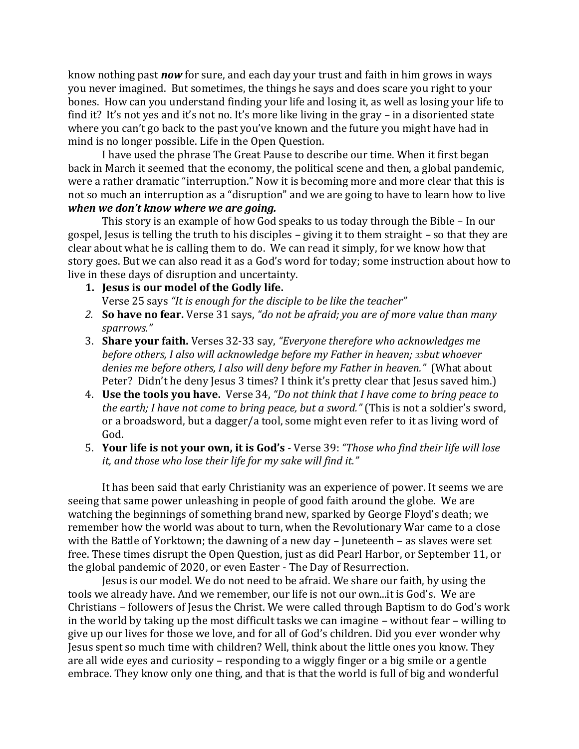know nothing past *now* for sure, and each day your trust and faith in him grows in ways you never imagined. But sometimes, the things he says and does scare you right to your bones. How can you understand finding your life and losing it, as well as losing your life to find it? It's not yes and it's not no. It's more like living in the gray – in a disoriented state where you can't go back to the past you've known and the future you might have had in mind is no longer possible. Life in the Open Question.

I have used the phrase The Great Pause to describe our time. When it first began back in March it seemed that the economy, the political scene and then, a global pandemic, were a rather dramatic "interruption." Now it is becoming more and more clear that this is not so much an interruption as a "disruption" and we are going to have to learn how to live *when we don't know where we are going.*

This story is an example of how God speaks to us today through the Bible – In our gospel, Jesus is telling the truth to his disciples – giving it to them straight – so that they are clear about what he is calling them to do. We can read it simply, for we know how that story goes. But we can also read it as a God's word for today; some instruction about how to live in these days of disruption and uncertainty.

## **1. Jesus is our model of the Godly life.**

Verse 25 says *"It is enough for the disciple to be like the teacher"*

- *2.* **So have no fear.** Verse 31 says, *"do not be afraid; you are of more value than many sparrows."*
- 3. **Share your faith.** Verses 32-33 say, *"Everyone therefore who acknowledges me before others, I also will acknowledge before my Father in heaven; 33but whoever denies me before others, I also will deny before my Father in heaven."* (What about Peter? Didn't he deny Jesus 3 times? I think it's pretty clear that Jesus saved him.
- 4. **Use the tools you have.** Verse 34, *"Do not think that I have come to bring peace to the earth; I have not come to bring peace, but a sword."* (This is not a soldier's sword, or a broadsword, but a dagger/a tool, some might even refer to it as living word of God.
- 5. **Your life is not your own, it is God's** Verse 39: *"Those who find their life will lose it, and those who lose their life for my sake will find it."*

It has been said that early Christianity was an experience of power. It seems we are seeing that same power unleashing in people of good faith around the globe. We are watching the beginnings of something brand new, sparked by George Floyd's death; we remember how the world was about to turn, when the Revolutionary War came to a close with the Battle of Yorktown; the dawning of a new day – Juneteenth – as slaves were set free. These times disrupt the Open Question, just as did Pearl Harbor, or September 11, or the global pandemic of 2020, or even Easter - The Day of Resurrection.

Jesus is our model. We do not need to be afraid. We share our faith, by using the tools we already have. And we remember, our life is not our own...it is God's. We are Christians – followers of Jesus the Christ. We were called through Baptism to do God's work in the world by taking up the most difficult tasks we can imagine – without fear – willing to give up our lives for those we love, and for all of God's children. Did you ever wonder why Jesus spent so much time with children? Well, think about the little ones you know. They are all wide eyes and curiosity – responding to a wiggly finger or a big smile or a gentle embrace. They know only one thing, and that is that the world is full of big and wonderful